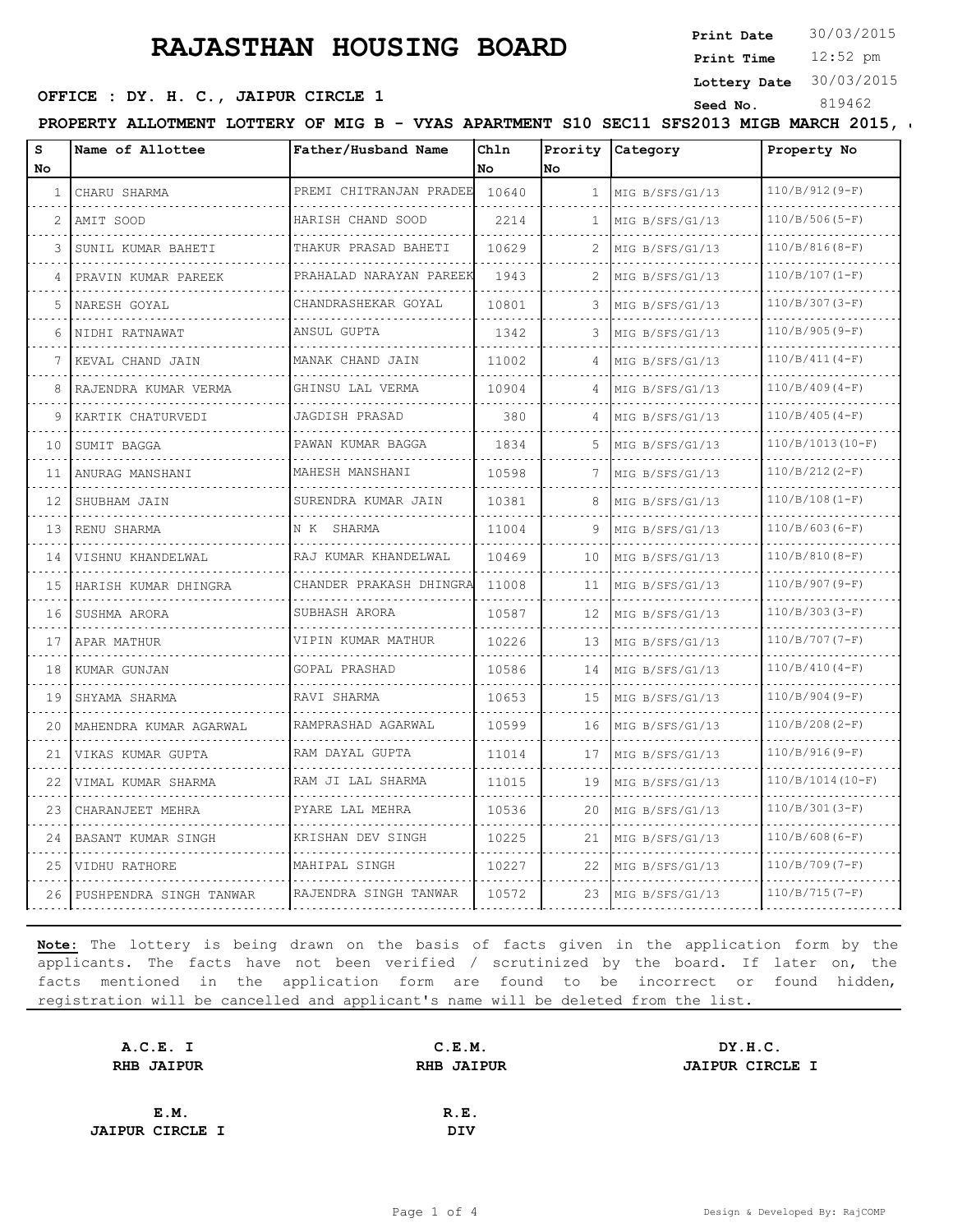**Print Date**  $30/03/2015$ 

12:52 pm **Print Time**

**Lottery Date** 30/03/2015

### **SEED OFFICE : DY. H. C., JAIPUR CIRCLE 1** Seed No. 819462

PROPERTY ALLOTMENT LOTTERY OF MIG B - VYAS APARTMENT S10 SEC11 SFS2013 MIGB MARCH 2015,

| S<br>No | Name of Allottee        | Father/Husband Name     | Chln<br>No. | No           | Prority Category | Property No        |
|---------|-------------------------|-------------------------|-------------|--------------|------------------|--------------------|
| 1       | CHARU SHARMA            | PREMI CHITRANJAN PRADEE | 10640       | $\mathbf{1}$ | MIG B/SFS/G1/13  | $110/B/912(9-F)$   |
| 2       | AMIT SOOD               | HARISH CHAND SOOD       | 2214        | 1.           | MIG B/SFS/G1/13  | $110/B/506(S-F)$   |
| 3       | SUNIL KUMAR BAHETI      | THAKUR PRASAD BAHETI    | 10629       | 2            | MIG B/SFS/G1/13  | $110/B/816(8-F)$   |
| 4       | PRAVIN KUMAR PAREEK     | PRAHALAD NARAYAN PAREEK | 1943        | 2            | MIG B/SFS/G1/13  | $110/B/107(I-F)$   |
| 5       | NARESH GOYAL            | CHANDRASHEKAR GOYAL     | 10801       |              | MIG B/SFS/G1/13  | $110/B/307(3-F)$   |
| 6       | NIDHI RATNAWAT          | ANSUL GUPTA             | 1342        | 3            | MIG B/SFS/G1/13  | $110/B/905(9-F)$   |
| 7       | KEVAL CHAND JAIN        | MANAK CHAND JAIN        | 11002       | 4            | MIG B/SFS/G1/13  | $110/B/411(4-F)$   |
| 8       | RAJENDRA KUMAR VERMA    | GHINSU LAL VERMA        | 10904       |              | MIG B/SFS/G1/13  | $110/B/409(4-F)$   |
| 9       | KARTIK CHATURVEDI       | JAGDISH PRASAD          | 380         | 4            | MIG B/SFS/G1/13  | $110/B/405(4-F)$   |
| 10      | SUMIT BAGGA             | PAWAN KUMAR BAGGA       | 1834        | .5           | MIG B/SFS/G1/13  | $110/B/1013(I0-F)$ |
| 11      | ANURAG MANSHANI         | MAHESH MANSHANI         | 10598       |              | MIG B/SFS/G1/13  | $110/B/212(2-F)$   |
| 12      | SHUBHAM JAIN            | SURENDRA KUMAR JAIN     | 10381       | 8            | MIG B/SFS/G1/13  | $110/B/108(I-F)$   |
| 13      | RENU SHARMA             | N K SHARMA              | 11004       | 9            | MIG B/SFS/G1/13  | $110/B/603(6-F)$   |
| 14      | VISHNU KHANDELWAL       | RAJ KUMAR KHANDELWAL    | 10469       | 10           | MIG B/SFS/G1/13  | $110/B/810(8-F)$   |
| 15      | HARISH KUMAR DHINGRA    | CHANDER PRAKASH DHINGRA | 11008       | 11           | MIG B/SFS/G1/13  | $110/B/907(9-F)$   |
| 16      | SUSHMA ARORA            | SUBHASH ARORA           | 10587       | 12           | MIG B/SFS/G1/13  | $110/B/303(3-F)$   |
| 17      | APAR MATHUR             | VIPIN KUMAR MATHUR      | 10226       | 13           | MIG B/SFS/G1/13  | $110/B/707(7-F)$   |
| 18      | KUMAR GUNJAN            | GOPAL PRASHAD           | 10586       | 14           | MIG B/SFS/G1/13  | $110/B/410(4-F)$   |
| 19      | SHYAMA SHARMA           | RAVI SHARMA             | 10653       | 15           | MIG B/SFS/G1/13  | $110/B/904(9-F)$   |
| 20      | MAHENDRA KUMAR AGARWAL  | RAMPRASHAD AGARWAL<br>. | 10599       | 16           | MIG B/SFS/G1/13  | $110/B/208(2-F)$   |
| 21      | VIKAS KUMAR GUPTA       | RAM DAYAL GUPTA         | 11014       | 17           | MIG B/SFS/G1/13  | $110/B/916(9-F)$   |
| 22      | VIMAL KUMAR SHARMA      | RAM JI LAL SHARMA       | 11015       | 19           | MIG B/SFS/G1/13  | $110/B/1014(I0-F)$ |
| 23      | CHARANJEET MEHRA        | PYARE LAL MEHRA         | 10536       | 20           | MIG B/SFS/G1/13  | $110/B/301(3-F)$   |
| 24      | BASANT KUMAR SINGH      | KRISHAN DEV SINGH       | 10225       | 21           | MIG B/SFS/G1/13  | $110/B/608(6-F)$   |
| 25      | VIDHU RATHORE           | MAHIPAL SINGH           | 10227       | 22           | MIG B/SFS/G1/13  | $110/B/709(T-F)$   |
| 26      | PUSHPENDRA SINGH TANWAR | RAJENDRA SINGH TANWAR   | 10572       | 23           | MIG B/SFS/G1/13  | $110/B/715(7-F)$   |

| A.C.E. I               | C.E.M.            | DY.H.C.                |
|------------------------|-------------------|------------------------|
| RHB JAIPUR             | <b>RHB JAIPUR</b> | <b>JAIPUR CIRCLE I</b> |
|                        |                   |                        |
| E.M.                   | R.E.              |                        |
| <b>JAIPUR CIRCLE I</b> | DIV               |                        |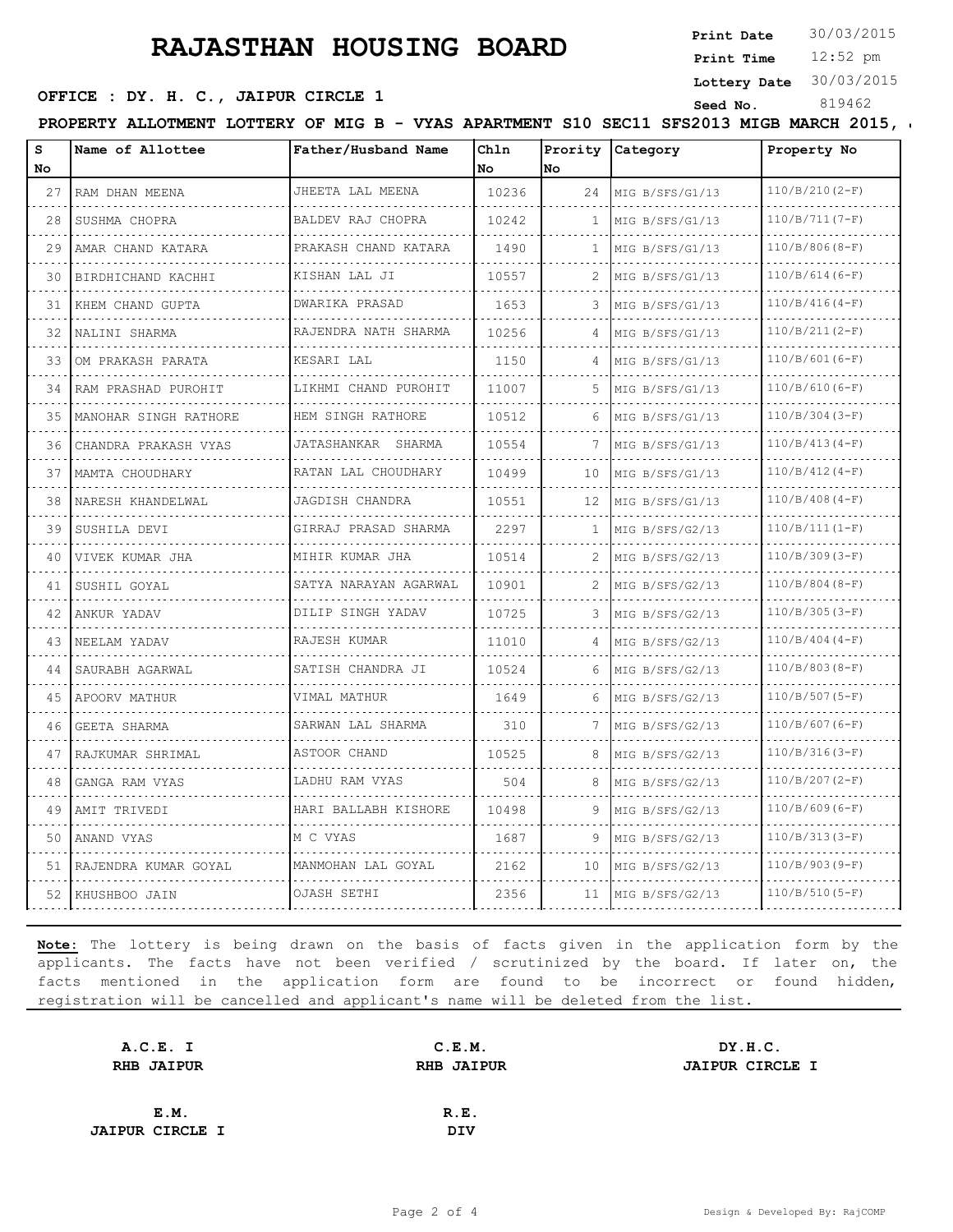**Print Date**  $30/03/2015$ 

12:52 pm **Print Time**

**Lottery Date** 30/03/2015

#### OFFICE : DY. H. C., JAIPUR CIRCLE 1 Seed No.

PROPERTY ALLOTMENT LOTTERY OF MIG B - VYAS APARTMENT S10 SEC11 SFS2013 MIGB MARCH 2015,

| s<br>No | Name of Allottee      | Father/Husband Name        | Chln<br>l No | Prority<br>No. | Category             | Property No      |
|---------|-----------------------|----------------------------|--------------|----------------|----------------------|------------------|
| 27      | RAM DHAN MEENA        | JHEETA LAL MEENA           | 10236        | 24             | MIG B/SFS/G1/13      | $110/B/210(2-F)$ |
| 28      | SUSHMA CHOPRA         | BALDEV RAJ CHOPRA          | 10242        | 1              | MIG B/SFS/G1/13      | $110/B/711(7-F)$ |
| 29      | AMAR CHAND KATARA     | PRAKASH CHAND KATARA       | 1490         | 1              | MIG B/SFS/G1/13      | $110/B/806(B-F)$ |
| 30      | BIRDHICHAND KACHHI    | KISHAN LAL JI              | 10557        | 2              | MIG B/SFS/G1/13      | $110/B/614(6-F)$ |
| 31      | KHEM CHAND GUPTA      | .<br><b>DWARIKA PRASAD</b> | 1653         | 3              | MIG B/SFS/G1/13      | $110/B/416(4-F)$ |
| 32      | NALINI SHARMA         | RAJENDRA NATH SHARMA       | 10256        | 4              | MIG B/SFS/G1/13      | $110/B/211(2-F)$ |
| 33      | OM PRAKASH PARATA     | KESARI LAL                 | 1150         |                | MIG B/SFS/G1/13      | $110/B/601(6-F)$ |
| 34      | RAM PRASHAD PUROHIT   | LIKHMI CHAND PUROHIT       | 11007        | 5.             | MIG B/SFS/G1/13      | $110/B/610(6-F)$ |
| 35      | MANOHAR SINGH RATHORE | HEM SINGH RATHORE          | 10512        | 6              | MIG B/SFS/G1/13      | $110/B/304(3-F)$ |
| 36      | CHANDRA PRAKASH VYAS  | JATASHANKAR SHARMA         | 10554        | 7              | MIG B/SFS/G1/13      | $110/B/413(4-F)$ |
| 37      | MAMTA CHOUDHARY       | RATAN LAL CHOUDHARY<br>.   | 10499        | 10             | MIG B/SFS/G1/13      | $110/B/412(4-F)$ |
| 38      | NARESH KHANDELWAL     | JAGDISH CHANDRA            | 10551        | 12             | MIG B/SFS/G1/13      | $110/B/408(4-F)$ |
| 39      | SUSHILA DEVI          | GIRRAJ PRASAD SHARMA       | 2297         | 1              | MIG B/SFS/G2/13<br>. | $110/B/111(I-F)$ |
| 40      | VIVEK KUMAR JHA       | MIHIR KUMAR JHA            | 10514        |                | MIG B/SFS/G2/13      | $110/B/309(3-F)$ |
| 41      | SUSHIL GOYAL          | SATYA NARAYAN AGARWAL      | 10901        | 2              | MIG B/SFS/G2/13      | $110/B/804(B-F)$ |
| 42      | ANKUR YADAV           | DILIP SINGH YADAV          | 10725        | 3              | MIG B/SFS/G2/13      | $110/B/305(3-F)$ |
| 43      | NEELAM YADAV          | RAJESH KUMAR               | 11010        |                | MIG B/SFS/G2/13      | $110/B/404(4-F)$ |
| 44      | SAURABH AGARWAL       | SATISH CHANDRA JI          | 10524        | 6              | MIG B/SFS/G2/13      | $110/B/803(B-F)$ |
| 45      | APOORV MATHUR         | VIMAL MATHUR               | 1649         | 6              | MIG B/SFS/G2/13      | $110/B/507(S-F)$ |
| 46      | GEETA SHARMA          | SARWAN LAL SHARMA          | 310          |                | MIG B/SFS/G2/13      | $110/B/607(6-F)$ |
| 47      | RAJKUMAR SHRIMAL      | ASTOOR CHAND               | 10525        | 8              | MIG B/SFS/G2/13      | $110/B/316(3-F)$ |
| 48      | GANGA RAM VYAS        | LADHU RAM VYAS             | 504          | 8              | MIG B/SFS/G2/13      | $110/B/207(2-F)$ |
| 49      | AMIT TRIVEDI          | HARI BALLABH KISHORE       | 10498        | 9              | MIG B/SFS/G2/13      | $110/B/609(6-F)$ |
| 50      | ANAND VYAS            | M C VYAS                   | 1687         | 9              | MIG B/SFS/G2/13      | $110/B/313(3-F)$ |
| 51      | RAJENDRA KUMAR GOYAL  | MANMOHAN LAL GOYAL         | 2162         | 10             | MIG B/SFS/G2/13      | $110/B/903(9-F)$ |
| 52      | KHUSHBOO JAIN         | OJASH SETHI                | 2356         | 11             | MIG B/SFS/G2/13      | $110/B/510(5-F)$ |

| A.C.E. I               | C.E.M.            | DY.H.C.                |
|------------------------|-------------------|------------------------|
| <b>RHB JAIPUR</b>      | <b>RHB JAIPUR</b> | <b>JAIPUR CIRCLE I</b> |
|                        |                   |                        |
| E.M.                   | R.E.              |                        |
| <b>JAIPUR CIRCLE I</b> | DIV               |                        |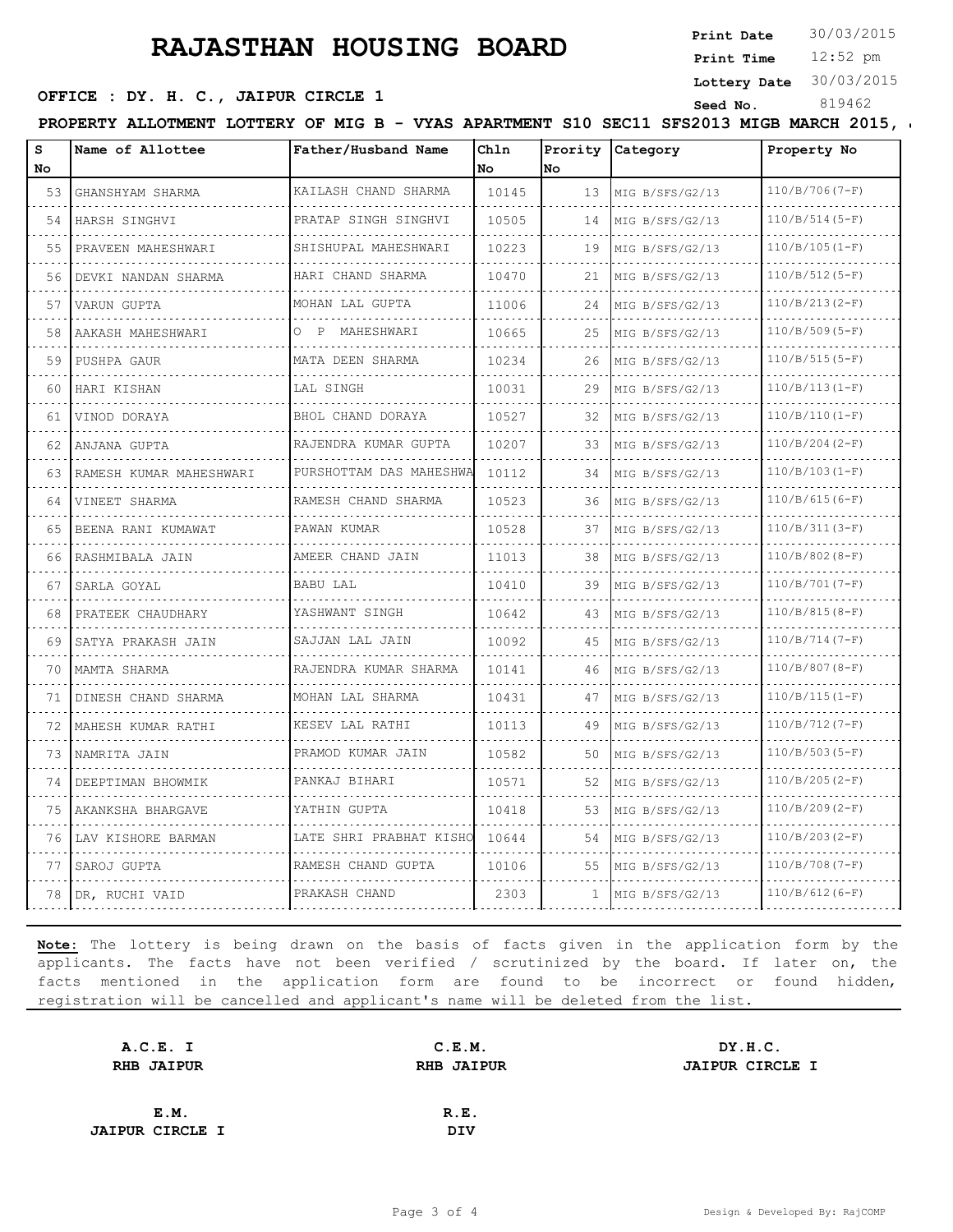**Print Date**  $30/03/2015$ 

12:52 pm **Print Time**

**Lottery Date** 30/03/2015

### **SEED OFFICE : DY. H. C., JAIPUR CIRCLE 1** Seed No. 819462

PROPERTY ALLOTMENT LOTTERY OF MIG B - VYAS APARTMENT S10 SEC11 SFS2013 MIGB MARCH 2015,

| s<br>No. | Name of Allottee        | Father/Husband Name             | Chln<br>No | Prority<br>No | <b>Category</b> | Property No      |
|----------|-------------------------|---------------------------------|------------|---------------|-----------------|------------------|
| 53       | GHANSHYAM SHARMA        | KAILASH CHAND SHARMA            | 10145      | 13            | MIG B/SFS/G2/13 | $110/B/706(T-F)$ |
| 54       | HARSH SINGHVI           | PRATAP SINGH SINGHVI            | 10505      | 14            | MIG B/SFS/G2/13 | $110/B/514(5-F)$ |
| 55       | PRAVEEN MAHESHWARI      | SHISHUPAL MAHESHWARI            | 10223      | 19            | MIG B/SFS/G2/13 | $110/B/105(I-F)$ |
| 56       | DEVKI NANDAN SHARMA     | HARI CHAND SHARMA               | 10470      | 21            | MIG B/SFS/G2/13 | $110/B/512(5-F)$ |
| 57       | VARUN GUPTA             | MOHAN LAL GUPTA                 | 11006      | 24            | MIG B/SFS/G2/13 | $110/B/213(2-F)$ |
| 58       | .<br>AAKASH MAHESHWARI  | MAHESHWARI<br>∩<br>$\mathbb{P}$ | 10665      | 25            | MIG B/SFS/G2/13 | $110/B/509(5-F)$ |
| 59       | PUSHPA GAUR             | MATA DEEN SHARMA                | 10234      | 26            | MIG B/SFS/G2/13 | $110/B/515(5-F)$ |
| 60       | HARI KISHAN             | LAL SINGH                       | 10031      | 29            | MIG B/SFS/G2/13 | $110/B/113(I-F)$ |
| 61       | VINOD DORAYA            | BHOL CHAND DORAYA               | 10527      | 32            | MIG B/SFS/G2/13 | $110/B/110(I-F)$ |
| 62       | ANJANA GUPTA            | RAJENDRA KUMAR GUPTA            | 10207      | 33            | MIG B/SFS/G2/13 | $110/B/204(2-F)$ |
| 63       | RAMESH KUMAR MAHESHWARI | PURSHOTTAM DAS MAHESHWA         | 10112      | 34            | MIG B/SFS/G2/13 | $110/B/103(I-F)$ |
| 64       | VINEET SHARMA           | RAMESH CHAND SHARMA             | 10523      | 36            | MIG B/SFS/G2/13 | $110/B/615(6-F)$ |
| 65       | BEENA RANI KUMAWAT      | PAWAN KUMAR                     | 10528      | 37            | MIG B/SFS/G2/13 | $110/B/311(3-F)$ |
| 66       | RASHMIBALA JAIN         | AMEER CHAND JAIN                | 11013      | 38            | MIG B/SFS/G2/13 | $110/B/802(8-F)$ |
| 67       | SARLA GOYAL             | BABU LAL                        | 10410      | 39            | MIG B/SFS/G2/13 | $110/B/701(7-F)$ |
| 68       | PRATEEK CHAUDHARY       | YASHWANT SINGH                  | 10642      | 43            | MIG B/SFS/G2/13 | $110/B/815(8-F)$ |
| 69       | SATYA PRAKASH JAIN      | .<br>SAJJAN LAL JAIN            | 10092      | 45            | MIG B/SFS/G2/13 | $110/B/714(7-F)$ |
| 70       | MAMTA SHARMA            | RAJENDRA KUMAR SHARMA           | 10141      | 46            | MIG B/SFS/G2/13 | $110/B/807(B-F)$ |
| 71       | DINESH CHAND SHARMA     | MOHAN LAL SHARMA                | 10431      | 47            | MIG B/SFS/G2/13 | $110/B/115(I-F)$ |
| 72       | MAHESH KUMAR RATHI      | .<br>KESEV LAL RATHI            | 10113      | 49            | MIG B/SFS/G2/13 | $110/B/712(7-F)$ |
| 73       | NAMRITA JAIN            | PRAMOD KUMAR JAIN               | 10582      | 50            | MIG B/SFS/G2/13 | $110/B/503(S-F)$ |
| 74       | DEEPTIMAN BHOWMIK       | PANKAJ BIHARI                   | 10571      | 52            | MIG B/SFS/G2/13 | $110/B/205(2-F)$ |
| 75       | AKANKSHA BHARGAVE       | YATHIN GUPTA                    | 10418      | 53            | MIG B/SFS/G2/13 | $110/B/209(2-F)$ |
| 76       | LAV KISHORE BARMAN      | LATE SHRI PRABHAT KISHO         | 10644      | 54            | MIG B/SFS/G2/13 | $110/B/203(2-F)$ |
| 77       | SAROJ GUPTA             | RAMESH CHAND GUPTA              | 10106      | 55            | MIG B/SFS/G2/13 | $110/B/708(T-F)$ |
| 78       | DR, RUCHI VAID          | PRAKASH CHAND                   | 2303       | 1             | MIG B/SFS/G2/13 | $110/B/612(6-F)$ |

| A.C.E. I               | C.E.M.            | DY.H.C.                |
|------------------------|-------------------|------------------------|
| <b>RHB JAIPUR</b>      | <b>RHB JAIPUR</b> | <b>JAIPUR CIRCLE I</b> |
|                        |                   |                        |
| E.M.                   | R.E.              |                        |
| <b>JAIPUR CIRCLE I</b> | DIV               |                        |
|                        |                   |                        |